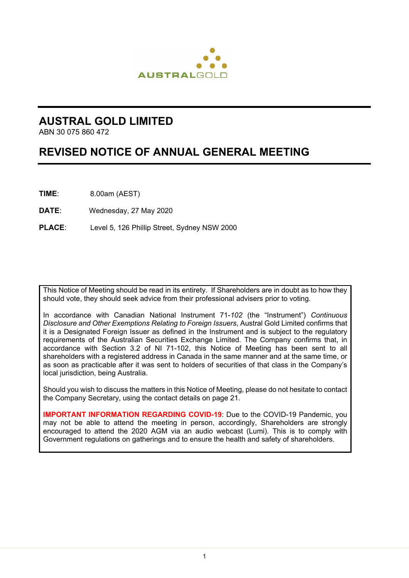

## **AUSTRAL GOLD LIMITED**

ABN 30 075 860 472

# **REVISED NOTICE OF ANNUAL GENERAL MEETING**

**TIME**: 8.00am (AEST)

**DATE**: Wednesday, 27 May 2020

**PLACE**: Level 5, 126 Phillip Street, Sydney NSW 2000

This Notice of Meeting should be read in its entirety. If Shareholders are in doubt as to how they should vote, they should seek advice from their professional advisers prior to voting.

In accordance with Canadian National Instrument 71-*102* (the "Instrument") *Continuous Disclosure and Other Exemptions Relating to Foreign Issuers*, Austral Gold Limited confirms that it is a Designated Foreign Issuer as defined in the Instrument and is subject to the regulatory requirements of the Australian Securities Exchange Limited. The Company confirms that, in accordance with Section 3.2 of NI 71-102, this Notice of Meeting has been sent to all shareholders with a registered address in Canada in the same manner and at the same time, or as soon as practicable after it was sent to holders of securities of that class in the Company's local jurisdiction, being Australia.

Should you wish to discuss the matters in this Notice of Meeting, please do not hesitate to contact the Company Secretary, using the contact details on page 21.

**IMPORTANT INFORMATION REGARDING COVID-19:** Due to the COVID-19 Pandemic, you may not be able to attend the meeting in person, accordingly, Shareholders are strongly encouraged to attend the 2020 AGM via an audio webcast (Lumi). This is to comply with Government regulations on gatherings and to ensure the health and safety of shareholders.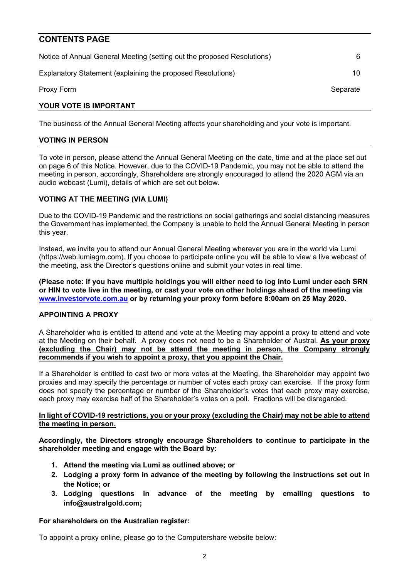### **CONTENTS PAGE**

| YOUR VOTE IS IMPORTANT                                                  |          |
|-------------------------------------------------------------------------|----------|
| Proxy Form                                                              | Separate |
| Explanatory Statement (explaining the proposed Resolutions)             | 10       |
| Notice of Annual General Meeting (setting out the proposed Resolutions) | 6        |

The business of the Annual General Meeting affects your shareholding and your vote is important.

### **VOTING IN PERSON**

To vote in person, please attend the Annual General Meeting on the date, time and at the place set out on page 6 of this Notice. However, due to the COVID-19 Pandemic, you may not be able to attend the meeting in person, accordingly, Shareholders are strongly encouraged to attend the 2020 AGM via an audio webcast (Lumi), details of which are set out below.

### **VOTING AT THE MEETING (VIA LUMI)**

Due to the COVID-19 Pandemic and the restrictions on social gatherings and social distancing measures the Government has implemented, the Company is unable to hold the Annual General Meeting in person this year.

Instead, we invite you to attend our Annual General Meeting wherever you are in the world via Lumi (https://web.lumiagm.com). If you choose to participate online you will be able to view a live webcast of the meeting, ask the Director's questions online and submit your votes in real time.

**(Please note: if you have multiple holdings you will either need to log into Lumi under each SRN or HIN to vote live in the meeting, or cast your vote on other holdings ahead of the meeting via www.investorvote.com.au or by returning your proxy form before 8:00am on 25 May 2020.**

### **APPOINTING A PROXY**

A Shareholder who is entitled to attend and vote at the Meeting may appoint a proxy to attend and vote at the Meeting on their behalf. A proxy does not need to be a Shareholder of Austral. **As your proxy (excluding the Chair) may not be attend the meeting in person, the Company strongly recommends if you wish to appoint a proxy, that you appoint the Chair.**

If a Shareholder is entitled to cast two or more votes at the Meeting, the Shareholder may appoint two proxies and may specify the percentage or number of votes each proxy can exercise. If the proxy form does not specify the percentage or number of the Shareholder's votes that each proxy may exercise, each proxy may exercise half of the Shareholder's votes on a poll. Fractions will be disregarded.

#### **In light of COVID-19 restrictions, you or your proxy (excluding the Chair) may not be able to attend the meeting in person.**

**Accordingly, the Directors strongly encourage Shareholders to continue to participate in the shareholder meeting and engage with the Board by:** 

- **1. Attend the meeting via Lumi as outlined above; or**
- **2. Lodging a proxy form in advance of the meeting by following the instructions set out in the Notice; or**
- **3. Lodging questions in advance of the meeting by emailing questions to info@australgold.com;**

### **For shareholders on the Australian register:**

To appoint a proxy online, please go to the Computershare website below: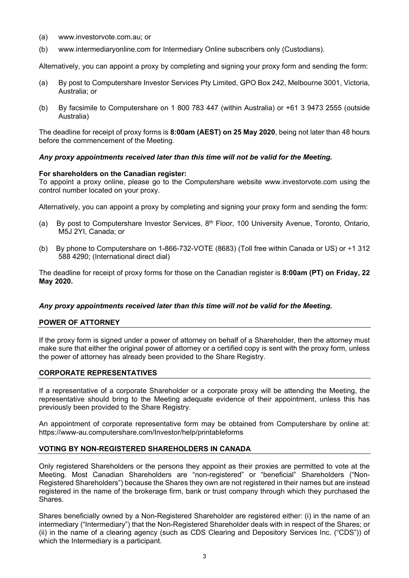- (a) www.investorvote.com.au; or
- (b) www.intermediaryonline.com for Intermediary Online subscribers only (Custodians).

Alternatively, you can appoint a proxy by completing and signing your proxy form and sending the form:

- (a) By post to Computershare Investor Services Pty Limited, GPO Box 242, Melbourne 3001, Victoria, Australia; or
- (b) By facsimile to Computershare on 1 800 783 447 (within Australia) or +61 3 9473 2555 (outside Australia)

The deadline for receipt of proxy forms is **8:00am (AEST) on 25 May 2020**, being not later than 48 hours before the commencement of the Meeting.

### *Any proxy appointments received later than this time will not be valid for the Meeting.*

### **For shareholders on the Canadian register:**

To appoint a proxy online, please go to the Computershare website www.investorvote.com using the control number located on your proxy.

Alternatively, you can appoint a proxy by completing and signing your proxy form and sending the form:

- (a) By post to Computershare Investor Services,  $8<sup>th</sup>$  Floor, 100 University Avenue, Toronto, Ontario, M5J 2YI, Canada; or
- (b) By phone to Computershare on 1-866-732-VOTE (8683) (Toll free within Canada or US) or +1 312 588 4290; (International direct dial)

The deadline for receipt of proxy forms for those on the Canadian register is **8:00am (PT) on Friday, 22 May 2020.**

### *Any proxy appointments received later than this time will not be valid for the Meeting.*

### **POWER OF ATTORNEY**

If the proxy form is signed under a power of attorney on behalf of a Shareholder, then the attorney must make sure that either the original power of attorney or a certified copy is sent with the proxy form, unless the power of attorney has already been provided to the Share Registry.

### **CORPORATE REPRESENTATIVES**

If a representative of a corporate Shareholder or a corporate proxy will be attending the Meeting, the representative should bring to the Meeting adequate evidence of their appointment, unless this has previously been provided to the Share Registry.

An appointment of corporate representative form may be obtained from Computershare by online at: https://www-au.computershare.com/Investor/help/printableforms

### **VOTING BY NON-REGISTERED SHAREHOLDERS IN CANADA**

Only registered Shareholders or the persons they appoint as their proxies are permitted to vote at the Meeting. Most Canadian Shareholders are "non-registered" or "beneficial" Shareholders ("Non-Registered Shareholders") because the Shares they own are not registered in their names but are instead registered in the name of the brokerage firm, bank or trust company through which they purchased the Shares.

Shares beneficially owned by a Non-Registered Shareholder are registered either: (i) in the name of an intermediary ("Intermediary") that the Non-Registered Shareholder deals with in respect of the Shares; or (ii) in the name of a clearing agency (such as CDS Clearing and Depository Services Inc. ("CDS")) of which the Intermediary is a participant.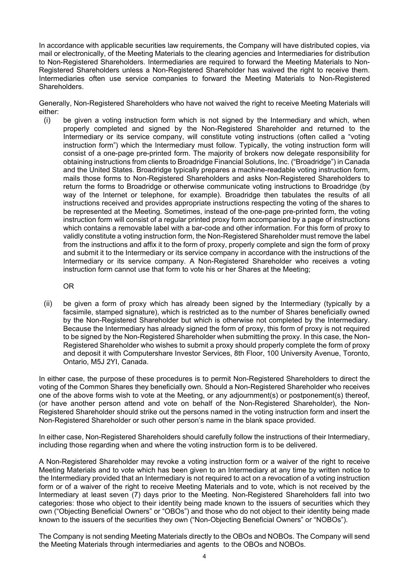In accordance with applicable securities law requirements, the Company will have distributed copies, via mail or electronically, of the Meeting Materials to the clearing agencies and Intermediaries for distribution to Non-Registered Shareholders. Intermediaries are required to forward the Meeting Materials to Non-Registered Shareholders unless a Non-Registered Shareholder has waived the right to receive them. Intermediaries often use service companies to forward the Meeting Materials to Non-Registered Shareholders.

Generally, Non-Registered Shareholders who have not waived the right to receive Meeting Materials will either:

(i) be given a voting instruction form which is not signed by the Intermediary and which, when properly completed and signed by the Non-Registered Shareholder and returned to the Intermediary or its service company, will constitute voting instructions (often called a "voting instruction form") which the Intermediary must follow. Typically, the voting instruction form will consist of a one-page pre-printed form. The majority of brokers now delegate responsibility for obtaining instructions from clients to Broadridge Financial Solutions, Inc. ("Broadridge") in Canada and the United States. Broadridge typically prepares a machine-readable voting instruction form, mails those forms to Non-Registered Shareholders and asks Non-Registered Shareholders to return the forms to Broadridge or otherwise communicate voting instructions to Broadridge (by way of the Internet or telephone, for example). Broadridge then tabulates the results of all instructions received and provides appropriate instructions respecting the voting of the shares to be represented at the Meeting. Sometimes, instead of the one-page pre-printed form, the voting instruction form will consist of a regular printed proxy form accompanied by a page of instructions which contains a removable label with a bar-code and other information. For this form of proxy to validly constitute a voting instruction form, the Non-Registered Shareholder must remove the label from the instructions and affix it to the form of proxy, properly complete and sign the form of proxy and submit it to the Intermediary or its service company in accordance with the instructions of the Intermediary or its service company. A Non-Registered Shareholder who receives a voting instruction form cannot use that form to vote his or her Shares at the Meeting;

OR

(ii) be given a form of proxy which has already been signed by the Intermediary (typically by a facsimile, stamped signature), which is restricted as to the number of Shares beneficially owned by the Non-Registered Shareholder but which is otherwise not completed by the Intermediary. Because the Intermediary has already signed the form of proxy, this form of proxy is not required to be signed by the Non-Registered Shareholder when submitting the proxy. In this case, the Non-Registered Shareholder who wishes to submit a proxy should properly complete the form of proxy and deposit it with Computershare Investor Services, 8th Floor, 100 University Avenue, Toronto, Ontario, M5J 2YI, Canada.

In either case, the purpose of these procedures is to permit Non-Registered Shareholders to direct the voting of the Common Shares they beneficially own. Should a Non-Registered Shareholder who receives one of the above forms wish to vote at the Meeting, or any adjournment(s) or postponement(s) thereof, (or have another person attend and vote on behalf of the Non-Registered Shareholder), the Non-Registered Shareholder should strike out the persons named in the voting instruction form and insert the Non-Registered Shareholder or such other person's name in the blank space provided.

In either case, Non-Registered Shareholders should carefully follow the instructions of their Intermediary, including those regarding when and where the voting instruction form is to be delivered.

A Non-Registered Shareholder may revoke a voting instruction form or a waiver of the right to receive Meeting Materials and to vote which has been given to an Intermediary at any time by written notice to the Intermediary provided that an Intermediary is not required to act on a revocation of a voting instruction form or of a waiver of the right to receive Meeting Materials and to vote, which is not received by the Intermediary at least seven (7) days prior to the Meeting. Non-Registered Shareholders fall into two categories: those who object to their identity being made known to the issuers of securities which they own ("Objecting Beneficial Owners" or "OBOs") and those who do not object to their identity being made known to the issuers of the securities they own ("Non-Objecting Beneficial Owners" or "NOBOs").

The Company is not sending Meeting Materials directly to the OBOs and NOBOs. The Company will send the Meeting Materials through intermediaries and agents to the OBOs and NOBOs.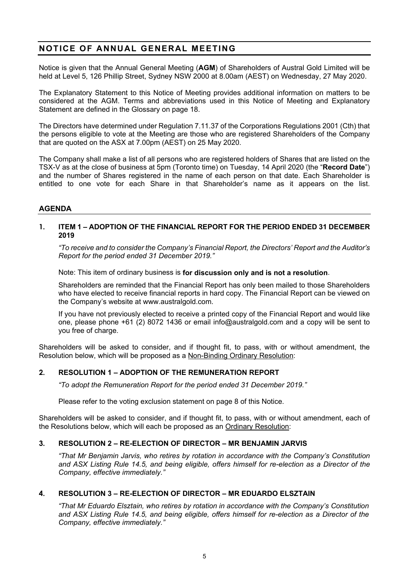## **NOTICE OF ANNUAL GENERAL MEETING**

Notice is given that the Annual General Meeting (**AGM**) of Shareholders of Austral Gold Limited will be held at Level 5, 126 Phillip Street, Sydney NSW 2000 at 8.00am (AEST) on Wednesday, 27 May 2020.

The Explanatory Statement to this Notice of Meeting provides additional information on matters to be considered at the AGM. Terms and abbreviations used in this Notice of Meeting and Explanatory Statement are defined in the Glossary on page 18.

The Directors have determined under Regulation 7.11.37 of the Corporations Regulations 2001 (Cth) that the persons eligible to vote at the Meeting are those who are registered Shareholders of the Company that are quoted on the ASX at 7.00pm (AEST) on 25 May 2020.

The Company shall make a list of all persons who are registered holders of Shares that are listed on the TSX-V as at the close of business at 5pm (Toronto time) on Tuesday, 14 April 2020 (the "**Record Date**") and the number of Shares registered in the name of each person on that date. Each Shareholder is entitled to one vote for each Share in that Shareholder's name as it appears on the list.

### **AGENDA**

### **1. ITEM 1 – ADOPTION OF THE FINANCIAL REPORT FOR THE PERIOD ENDED 31 DECEMBER 2019**

*"To receive and to consider the Company's Financial Report, the Directors' Report and the Auditor's Report for the period ended 31 December 2019."*

Note: This item of ordinary business is **for discussion only and is not a resolution**.

Shareholders are reminded that the Financial Report has only been mailed to those Shareholders who have elected to receive financial reports in hard copy. The Financial Report can be viewed on the Company's website at www.australgold.com.

If you have not previously elected to receive a printed copy of the Financial Report and would like one, please phone +61 (2) 8072 1436 or email info@australgold.com and a copy will be sent to you free of charge.

Shareholders will be asked to consider, and if thought fit, to pass, with or without amendment, the Resolution below, which will be proposed as a Non-Binding Ordinary Resolution:

### **2. RESOLUTION 1 – ADOPTION OF THE REMUNERATION REPORT**

*"To adopt the Remuneration Report for the period ended 31 December 2019."*

Please refer to the voting exclusion statement on page 8 of this Notice.

Shareholders will be asked to consider, and if thought fit, to pass, with or without amendment, each of the Resolutions below, which will each be proposed as an Ordinary Resolution:

### **3. RESOLUTION 2 – RE-ELECTION OF DIRECTOR – MR BENJAMIN JARVIS**

*"That Mr Benjamin Jarvis, who retires by rotation in accordance with the Company's Constitution and ASX Listing Rule 14.5, and being eligible, offers himself for re-election as a Director of the Company, effective immediately."*

### **4. RESOLUTION 3 – RE-ELECTION OF DIRECTOR – MR EDUARDO ELSZTAIN**

*"That Mr Eduardo Elsztain, who retires by rotation in accordance with the Company's Constitution and ASX Listing Rule 14.5, and being eligible, offers himself for re-election as a Director of the Company, effective immediately."*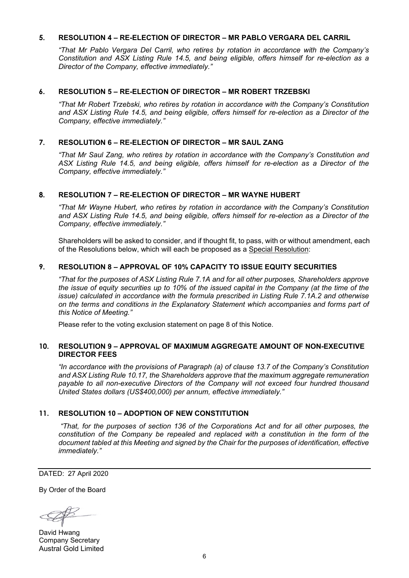### **5. RESOLUTION 4 – RE-ELECTION OF DIRECTOR – MR PABLO VERGARA DEL CARRIL**

*"That Mr Pablo Vergara Del Carril, who retires by rotation in accordance with the Company's Constitution and ASX Listing Rule 14.5, and being eligible, offers himself for re-election as a Director of the Company, effective immediately."*

### **6. RESOLUTION 5 – RE-ELECTION OF DIRECTOR – MR ROBERT TRZEBSKI**

*"That Mr Robert Trzebski, who retires by rotation in accordance with the Company's Constitution and ASX Listing Rule 14.5, and being eligible, offers himself for re-election as a Director of the Company, effective immediately."*

### **7. RESOLUTION 6 – RE-ELECTION OF DIRECTOR – MR SAUL ZANG**

*"That Mr Saul Zang, who retires by rotation in accordance with the Company's Constitution and ASX Listing Rule 14.5, and being eligible, offers himself for re-election as a Director of the Company, effective immediately."*

### **8. RESOLUTION 7 – RE-ELECTION OF DIRECTOR – MR WAYNE HUBERT**

*"That Mr Wayne Hubert, who retires by rotation in accordance with the Company's Constitution and ASX Listing Rule 14.5, and being eligible, offers himself for re-election as a Director of the Company, effective immediately."*

Shareholders will be asked to consider, and if thought fit, to pass, with or without amendment, each of the Resolutions below, which will each be proposed as a Special Resolution:

### **9. RESOLUTION 8 – APPROVAL OF 10% CAPACITY TO ISSUE EQUITY SECURITIES**

*"That for the purposes of ASX Listing Rule 7.1A and for all other purposes, Shareholders approve the issue of equity securities up to 10% of the issued capital in the Company (at the time of the issue)* calculated in accordance with the formula prescribed in Listing Rule 7.1A.2 and otherwise *on the terms and conditions in the Explanatory Statement which accompanies and forms part of this Notice of Meeting."*

Please refer to the voting exclusion statement on page 8 of this Notice.

### **10. RESOLUTION 9 – APPROVAL OF MAXIMUM AGGREGATE AMOUNT OF NON-EXECUTIVE DIRECTOR FEES**

*"In accordance with the provisions of Paragraph (a) of clause 13.7 of the Company's Constitution and ASX Listing Rule 10.17, the Shareholders approve that the maximum aggregate remuneration payable to all non-executive Directors of the Company will not exceed four hundred thousand United States dollars (US\$400,000) per annum, effective immediately."*

### **11. RESOLUTION 10 – ADOPTION OF NEW CONSTITUTION**

*"That, for the purposes of section 136 of the Corporations Act and for all other purposes, the constitution of the Company be repealed and replaced with a constitution in the form of the document tabled at this Meeting and signed by the Chair for the purposes of identification, effective immediately."* 

DATED: 27 April 2020

By Order of the Board

David Hwang Company Secretary Austral Gold Limited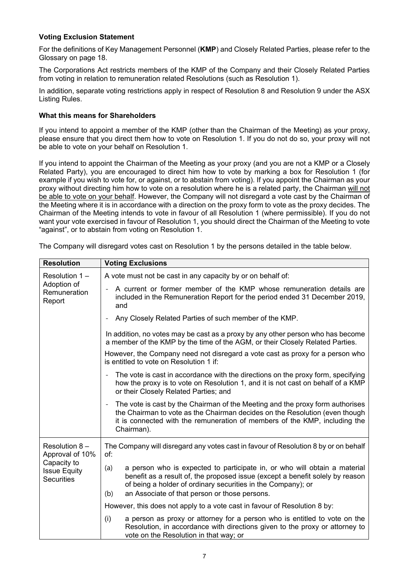### **Voting Exclusion Statement**

For the definitions of Key Management Personnel (**KMP**) and Closely Related Parties, please refer to the Glossary on page 18.

The Corporations Act restricts members of the KMP of the Company and their Closely Related Parties from voting in relation to remuneration related Resolutions (such as Resolution 1).

In addition, separate voting restrictions apply in respect of Resolution 8 and Resolution 9 under the ASX Listing Rules.

### **What this means for Shareholders**

If you intend to appoint a member of the KMP (other than the Chairman of the Meeting) as your proxy, please ensure that you direct them how to vote on Resolution 1. If you do not do so, your proxy will not be able to vote on your behalf on Resolution 1.

If you intend to appoint the Chairman of the Meeting as your proxy (and you are not a KMP or a Closely Related Party), you are encouraged to direct him how to vote by marking a box for Resolution 1 (for example if you wish to vote for, or against, or to abstain from voting). If you appoint the Chairman as your proxy without directing him how to vote on a resolution where he is a related party, the Chairman will not be able to vote on your behalf. However, the Company will not disregard a vote cast by the Chairman of the Meeting where it is in accordance with a direction on the proxy form to vote as the proxy decides. The Chairman of the Meeting intends to vote in favour of all Resolution 1 (where permissible). If you do not want your vote exercised in favour of Resolution 1, you should direct the Chairman of the Meeting to vote "against", or to abstain from voting on Resolution 1.

| <b>Resolution</b>                                                                           | <b>Voting Exclusions</b>                                                                                                                                                                                                                                                                  |  |  |  |  |
|---------------------------------------------------------------------------------------------|-------------------------------------------------------------------------------------------------------------------------------------------------------------------------------------------------------------------------------------------------------------------------------------------|--|--|--|--|
| Resolution $1 -$<br>Adoption of<br>Remuneration<br>Report                                   | A vote must not be cast in any capacity by or on behalf of:                                                                                                                                                                                                                               |  |  |  |  |
|                                                                                             | A current or former member of the KMP whose remuneration details are<br>$\overline{a}$<br>included in the Remuneration Report for the period ended 31 December 2019,<br>and                                                                                                               |  |  |  |  |
|                                                                                             | Any Closely Related Parties of such member of the KMP.<br>$\overline{\phantom{0}}$                                                                                                                                                                                                        |  |  |  |  |
|                                                                                             | In addition, no votes may be cast as a proxy by any other person who has become<br>a member of the KMP by the time of the AGM, or their Closely Related Parties.                                                                                                                          |  |  |  |  |
|                                                                                             | However, the Company need not disregard a vote cast as proxy for a person who<br>is entitled to vote on Resolution 1 if:                                                                                                                                                                  |  |  |  |  |
|                                                                                             | The vote is cast in accordance with the directions on the proxy form, specifying<br>$\overline{a}$<br>how the proxy is to vote on Resolution 1, and it is not cast on behalf of a KMP<br>or their Closely Related Parties; and                                                            |  |  |  |  |
|                                                                                             | The vote is cast by the Chairman of the Meeting and the proxy form authorises<br>$\overline{\phantom{a}}$<br>the Chairman to vote as the Chairman decides on the Resolution (even though<br>it is connected with the remuneration of members of the KMP, including the<br>Chairman).      |  |  |  |  |
| Resolution 8-<br>Approval of 10%<br>Capacity to<br><b>Issue Equity</b><br><b>Securities</b> | The Company will disregard any votes cast in favour of Resolution 8 by or on behalf<br>of:                                                                                                                                                                                                |  |  |  |  |
|                                                                                             | a person who is expected to participate in, or who will obtain a material<br>(a)<br>benefit as a result of, the proposed issue (except a benefit solely by reason<br>of being a holder of ordinary securities in the Company); or<br>an Associate of that person or those persons.<br>(b) |  |  |  |  |
|                                                                                             | However, this does not apply to a vote cast in favour of Resolution 8 by:                                                                                                                                                                                                                 |  |  |  |  |
|                                                                                             | (i)<br>a person as proxy or attorney for a person who is entitled to vote on the<br>Resolution, in accordance with directions given to the proxy or attorney to<br>vote on the Resolution in that way; or                                                                                 |  |  |  |  |

The Company will disregard votes cast on Resolution 1 by the persons detailed in the table below.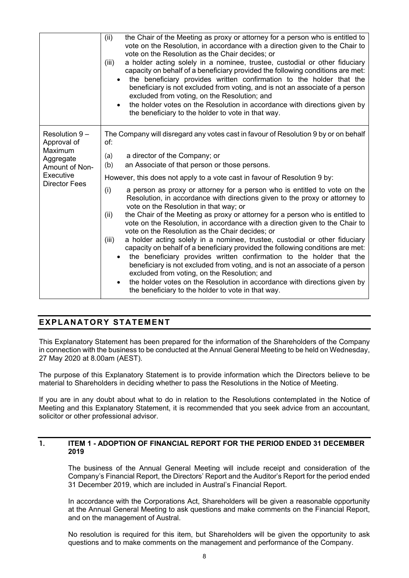|                                                                                                             | (ii)<br>the Chair of the Meeting as proxy or attorney for a person who is entitled to<br>vote on the Resolution, in accordance with a direction given to the Chair to<br>vote on the Resolution as the Chair decides; or<br>a holder acting solely in a nominee, trustee, custodial or other fiduciary<br>(iii)<br>capacity on behalf of a beneficiary provided the following conditions are met:<br>the beneficiary provides written confirmation to the holder that the<br>beneficiary is not excluded from voting, and is not an associate of a person<br>excluded from voting, on the Resolution; and<br>the holder votes on the Resolution in accordance with directions given by<br>the beneficiary to the holder to vote in that way.                                                                                                                                                                                                                                                                                           |
|-------------------------------------------------------------------------------------------------------------|----------------------------------------------------------------------------------------------------------------------------------------------------------------------------------------------------------------------------------------------------------------------------------------------------------------------------------------------------------------------------------------------------------------------------------------------------------------------------------------------------------------------------------------------------------------------------------------------------------------------------------------------------------------------------------------------------------------------------------------------------------------------------------------------------------------------------------------------------------------------------------------------------------------------------------------------------------------------------------------------------------------------------------------|
| Resolution 9-<br>Approval of<br>Maximum<br>Aggregate<br>Amount of Non-<br>Executive<br><b>Director Fees</b> | The Company will disregard any votes cast in favour of Resolution 9 by or on behalf<br>of:<br>a director of the Company; or<br>(a)<br>an Associate of that person or those persons.<br>(b)                                                                                                                                                                                                                                                                                                                                                                                                                                                                                                                                                                                                                                                                                                                                                                                                                                             |
|                                                                                                             | However, this does not apply to a vote cast in favour of Resolution 9 by:<br>a person as proxy or attorney for a person who is entitled to vote on the<br>(i)<br>Resolution, in accordance with directions given to the proxy or attorney to<br>vote on the Resolution in that way; or<br>the Chair of the Meeting as proxy or attorney for a person who is entitled to<br>(ii)<br>vote on the Resolution, in accordance with a direction given to the Chair to<br>vote on the Resolution as the Chair decides; or<br>a holder acting solely in a nominee, trustee, custodial or other fiduciary<br>(iii)<br>capacity on behalf of a beneficiary provided the following conditions are met:<br>the beneficiary provides written confirmation to the holder that the<br>beneficiary is not excluded from voting, and is not an associate of a person<br>excluded from voting, on the Resolution; and<br>the holder votes on the Resolution in accordance with directions given by<br>the beneficiary to the holder to vote in that way. |

### **EXPLANATORY STATEMENT**

This Explanatory Statement has been prepared for the information of the Shareholders of the Company in connection with the business to be conducted at the Annual General Meeting to be held on Wednesday, 27 May 2020 at 8.00am (AEST).

The purpose of this Explanatory Statement is to provide information which the Directors believe to be material to Shareholders in deciding whether to pass the Resolutions in the Notice of Meeting.

If you are in any doubt about what to do in relation to the Resolutions contemplated in the Notice of Meeting and this Explanatory Statement, it is recommended that you seek advice from an accountant, solicitor or other professional advisor.

### **1. ITEM 1 - ADOPTION OF FINANCIAL REPORT FOR THE PERIOD ENDED 31 DECEMBER 2019**

The business of the Annual General Meeting will include receipt and consideration of the Company's Financial Report, the Directors' Report and the Auditor's Report for the period ended 31 December 2019, which are included in Austral's Financial Report.

In accordance with the Corporations Act, Shareholders will be given a reasonable opportunity at the Annual General Meeting to ask questions and make comments on the Financial Report, and on the management of Austral.

No resolution is required for this item, but Shareholders will be given the opportunity to ask questions and to make comments on the management and performance of the Company.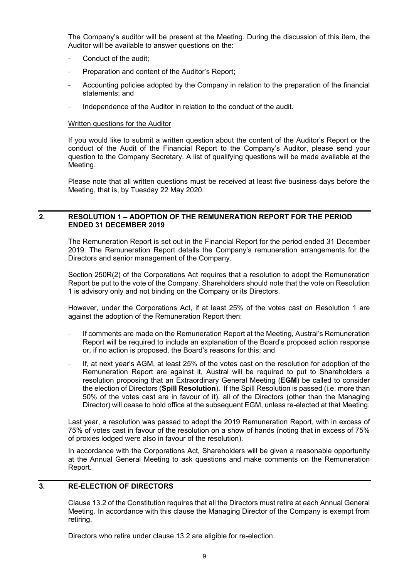The Company's auditor will be present at the Meeting. During the discussion of this item, the Auditor will be available to answer questions on the:

- Conduct of the audit;
- Preparation and content of the Auditor's Report;
- Accounting policies adopted by the Company in relation to the preparation of the financial statements; and
- Independence of the Auditor in relation to the conduct of the audit.

#### Written questions for the Auditor

If you would like to submit a written question about the content of the Auditor's Report or the conduct of the Audit of the Financial Report to the Company's Auditor, please send your question to the Company Secretary. A list of qualifying questions will be made available at the Meeting.

Please note that all written questions must be received at least five business days before the Meeting, that is, by Tuesday 22 May 2020.

### **2. RESOLUTION 1 – ADOPTION OF THE REMUNERATION REPORT FOR THE PERIOD ENDED 31 DECEMBER 2019**

The Remuneration Report is set out in the Financial Report for the period ended 31 December 2019. The Remuneration Report details the Company's remuneration arrangements for the Directors and senior management of the Company.

Section 250R(2) of the Corporations Act requires that a resolution to adopt the Remuneration Report be put to the vote of the Company. Shareholders should note that the vote on Resolution 1 is advisory only and not binding on the Company or its Directors.

However, under the Corporations Act, if at least 25% of the votes cast on Resolution 1 are against the adoption of the Remuneration Report then:

- If comments are made on the Remuneration Report at the Meeting, Austral's Remuneration Report will be required to include an explanation of the Board's proposed action response or, if no action is proposed, the Board's reasons for this; and
- If, at next year's AGM, at least 25% of the votes cast on the resolution for adoption of the Remuneration Report are against it, Austral will be required to put to Shareholders a resolution proposing that an Extraordinary General Meeting (**EGM**) be called to consider the election of Directors (**Spill Resolution**). If the Spill Resolution is passed (i.e. more than 50% of the votes cast are in favour of it), all of the Directors (other than the Managing Director) will cease to hold office at the subsequent EGM, unless re-elected at that Meeting.

Last year, a resolution was passed to adopt the 2019 Remuneration Report, with in excess of 75% of votes cast in favour of the resolution on a show of hands (noting that in excess of 75% of proxies lodged were also in favour of the resolution).

In accordance with the Corporations Act, Shareholders will be given a reasonable opportunity at the Annual General Meeting to ask questions and make comments on the Remuneration Report.

### **3. RE-ELECTION OF DIRECTORS**

Clause 13.2 of the Constitution requires that all the Directors must retire at each Annual General Meeting. In accordance with this clause the Managing Director of the Company is exempt from retiring.

Directors who retire under clause 13.2 are eligible for re-election.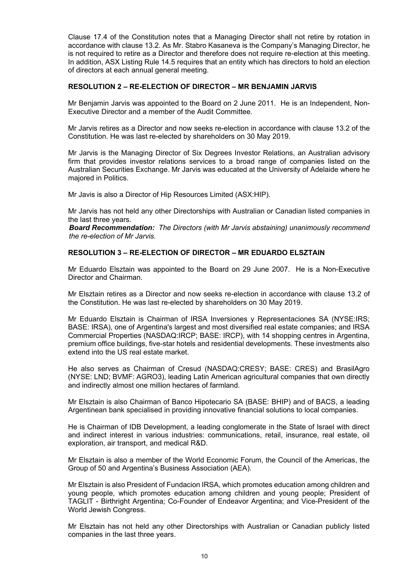Clause 17.4 of the Constitution notes that a Managing Director shall not retire by rotation in accordance with clause 13.2. As Mr. Stabro Kasaneva is the Company's Managing Director, he is not required to retire as a Director and therefore does not require re-election at this meeting. In addition, ASX Listing Rule 14.5 requires that an entity which has directors to hold an election of directors at each annual general meeting.

### **RESOLUTION 2 – RE-ELECTION OF DIRECTOR – MR BENJAMIN JARVIS**

Mr Benjamin Jarvis was appointed to the Board on 2 June 2011. He is an Independent, Non-Executive Director and a member of the Audit Committee.

Mr Jarvis retires as a Director and now seeks re-election in accordance with clause 13.2 of the Constitution. He was last re-elected by shareholders on 30 May 2019.

Mr Jarvis is the Managing Director of Six Degrees Investor Relations, an Australian advisory firm that provides investor relations services to a broad range of companies listed on the Australian Securities Exchange. Mr Jarvis was educated at the University of Adelaide where he majored in Politics.

Mr Javis is also a Director of Hip Resources Limited (ASX:HIP).

Mr Jarvis has not held any other Directorships with Australian or Canadian listed companies in the last three years.

*Board Recommendation: The Directors (with Mr Jarvis abstaining) unanimously recommend the re-election of Mr Jarvis.*

### **RESOLUTION 3 – RE-ELECTION OF DIRECTOR – MR EDUARDO ELSZTAIN**

Mr Eduardo Elsztain was appointed to the Board on 29 June 2007. He is a Non-Executive Director and Chairman.

Mr Elsztain retires as a Director and now seeks re-election in accordance with clause 13.2 of the Constitution. He was last re-elected by shareholders on 30 May 2019.

Mr Eduardo Elsztain is Chairman of IRSA Inversiones y Representaciones SA (NYSE:IRS; BASE: IRSA), one of Argentina's largest and most diversified real estate companies; and IRSA Commercial Properties (NASDAQ:IRCP; BASE: IRCP), with 14 shopping centres in Argentina, premium office buildings, five-star hotels and residential developments. These investments also extend into the US real estate market.

He also serves as Chairman of Cresud (NASDAQ:CRESY; BASE: CRES) and BrasilAgro (NYSE: LND; BVMF: AGRO3), leading Latin American agricultural companies that own directly and indirectly almost one million hectares of farmland.

Mr Elsztain is also Chairman of Banco Hipotecario SA (BASE: BHIP) and of BACS, a leading Argentinean bank specialised in providing innovative financial solutions to local companies.

He is Chairman of IDB Development, a leading conglomerate in the State of Israel with direct and indirect interest in various industries: communications, retail, insurance, real estate, oil exploration, air transport, and medical R&D.

Mr Elsztain is also a member of the World Economic Forum, the Council of the Americas, the Group of 50 and Argentina's Business Association (AEA).

Mr Elsztain is also President of Fundacion IRSA, which promotes education among children and young people, which promotes education among children and young people; President of TAGLIT - Birthright Argentina; Co-Founder of Endeavor Argentina; and Vice-President of the World Jewish Congress.

Mr Elsztain has not held any other Directorships with Australian or Canadian publicly listed companies in the last three years.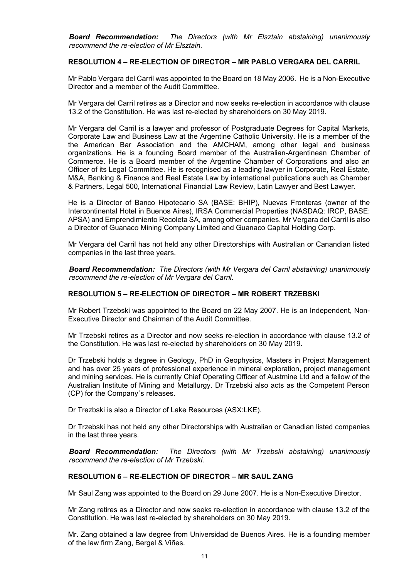*Board Recommendation: The Directors (with Mr Elsztain abstaining) unanimously recommend the re-election of Mr Elsztain.*

### **RESOLUTION 4 – RE-ELECTION OF DIRECTOR – MR PABLO VERGARA DEL CARRIL**

Mr Pablo Vergara del Carril was appointed to the Board on 18 May 2006. He is a Non-Executive Director and a member of the Audit Committee.

Mr Vergara del Carril retires as a Director and now seeks re-election in accordance with clause 13.2 of the Constitution. He was last re-elected by shareholders on 30 May 2019.

Mr Vergara del Carril is a lawyer and professor of Postgraduate Degrees for Capital Markets, Corporate Law and Business Law at the Argentine Catholic University. He is a member of the the American Bar Association and the AMCHAM, among other legal and business organizations. He is a founding Board member of the Australian-Argentinean Chamber of Commerce. He is a Board member of the Argentine Chamber of Corporations and also an Officer of its Legal Committee. He is recognised as a leading lawyer in Corporate, Real Estate, M&A, Banking & Finance and Real Estate Law by international publications such as Chamber & Partners, Legal 500, International Financial Law Review, Latin Lawyer and Best Lawyer.

He is a Director of Banco Hipotecario SA (BASE: BHIP), Nuevas Fronteras (owner of the Intercontinental Hotel in Buenos Aires), IRSA Commercial Properties (NASDAQ: IRCP, BASE: APSA) and Emprendimiento Recoleta SA, among other companies. Mr Vergara del Carril is also a Director of Guanaco Mining Company Limited and Guanaco Capital Holding Corp.

Mr Vergara del Carril has not held any other Directorships with Australian or Canandian listed companies in the last three years.

*Board Recommendation: The Directors (with Mr Vergara del Carril abstaining) unanimously recommend the re-election of Mr Vergara del Carril.*

### **RESOLUTION 5 – RE-ELECTION OF DIRECTOR – MR ROBERT TRZEBSKI**

Mr Robert Trzebski was appointed to the Board on 22 May 2007. He is an Independent, Non-Executive Director and Chairman of the Audit Committee.

Mr Trzebski retires as a Director and now seeks re-election in accordance with clause 13.2 of the Constitution. He was last re-elected by shareholders on 30 May 2019.

Dr Trzebski holds a degree in Geology, PhD in Geophysics, Masters in Project Management and has over 25 years of professional experience in mineral exploration, project management and mining services. He is currently Chief Operating Officer of Austmine Ltd and a fellow of the Australian Institute of Mining and Metallurgy. Dr Trzebski also acts as the Competent Person (CP) for the Company´s releases.

Dr Trezbski is also a Director of Lake Resources (ASX:LKE).

Dr Trzebski has not held any other Directorships with Australian or Canadian listed companies in the last three years.

*Board Recommendation: The Directors (with Mr Trzebski abstaining) unanimously recommend the re-election of Mr Trzebski.*

### **RESOLUTION 6 – RE-ELECTION OF DIRECTOR – MR SAUL ZANG**

Mr Saul Zang was appointed to the Board on 29 June 2007. He is a Non-Executive Director.

Mr Zang retires as a Director and now seeks re-election in accordance with clause 13.2 of the Constitution. He was last re-elected by shareholders on 30 May 2019.

Mr. Zang obtained a law degree from Universidad de Buenos Aires. He is a founding member of the law firm Zang, Bergel & Viñes.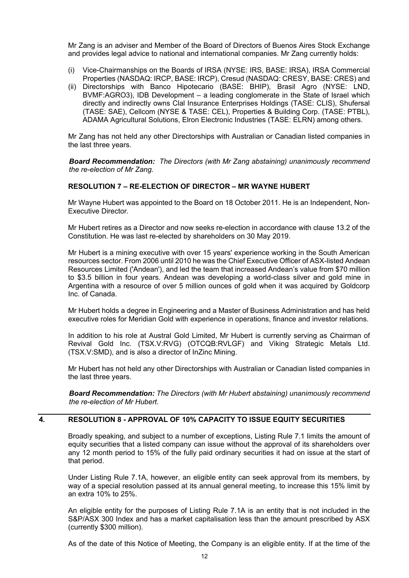Mr Zang is an adviser and Member of the Board of Directors of Buenos Aires Stock Exchange and provides legal advice to national and international companies. Mr Zang currently holds:

- (i) Vice-Chairmanships on the Boards of IRSA (NYSE: IRS, BASE: IRSA), IRSA Commercial Properties (NASDAQ: IRCP, BASE: IRCP), Cresud (NASDAQ: CRESY, BASE: CRES) and
- (ii) Directorships with Banco Hipotecario (BASE: BHIP), Brasil Agro (NYSE: LND, BVMF:AGRO3), IDB Development – a leading conglomerate in the State of Israel which directly and indirectly owns Clal Insurance Enterprises Holdings (TASE: CLIS), Shufersal (TASE: SAE), Cellcom (NYSE & TASE: CEL), Properties & Building Corp. (TASE: PTBL), ADAMA Agricultural Solutions, Elron Electronic Industries (TASE: ELRN) among others.

Mr Zang has not held any other Directorships with Australian or Canadian listed companies in the last three years.

*Board Recommendation: The Directors (with Mr Zang abstaining) unanimously recommend the re-election of Mr Zang.*

### **RESOLUTION 7 – RE-ELECTION OF DIRECTOR – MR WAYNE HUBERT**

Mr Wayne Hubert was appointed to the Board on 18 October 2011. He is an Independent, Non-Executive Director.

Mr Hubert retires as a Director and now seeks re-election in accordance with clause 13.2 of the Constitution. He was last re-elected by shareholders on 30 May 2019.

Mr Hubert is a mining executive with over 15 years' experience working in the South American resources sector. From 2006 until 2010 he was the Chief Executive Officer of ASX-listed Andean Resources Limited ('Andean'), and led the team that increased Andean's value from \$70 million to \$3.5 billion in four years. Andean was developing a world-class silver and gold mine in Argentina with a resource of over 5 million ounces of gold when it was acquired by Goldcorp Inc. of Canada.

Mr Hubert holds a degree in Engineering and a Master of Business Administration and has held executive roles for Meridian Gold with experience in operations, finance and investor relations.

In addition to his role at Austral Gold Limited, Mr Hubert is currently serving as Chairman of Revival Gold Inc. (TSX.V:RVG) (OTCQB:RVLGF) and Viking Strategic Metals Ltd. (TSX.V:SMD), and is also a director of InZinc Mining.

Mr Hubert has not held any other Directorships with Australian or Canadian listed companies in the last three years.

*Board Recommendation: The Directors (with Mr Hubert abstaining) unanimously recommend the re-election of Mr Hubert.*

### **4. RESOLUTION 8 - APPROVAL OF 10% CAPACITY TO ISSUE EQUITY SECURITIES**

Broadly speaking, and subject to a number of exceptions, Listing Rule 7.1 limits the amount of equity securities that a listed company can issue without the approval of its shareholders over any 12 month period to 15% of the fully paid ordinary securities it had on issue at the start of that period.

Under Listing Rule 7.1A, however, an eligible entity can seek approval from its members, by way of a special resolution passed at its annual general meeting, to increase this 15% limit by an extra 10% to 25%.

An eligible entity for the purposes of Listing Rule 7.1A is an entity that is not included in the S&P/ASX 300 Index and has a market capitalisation less than the amount prescribed by ASX (currently \$300 million).

As of the date of this Notice of Meeting, the Company is an eligible entity. If at the time of the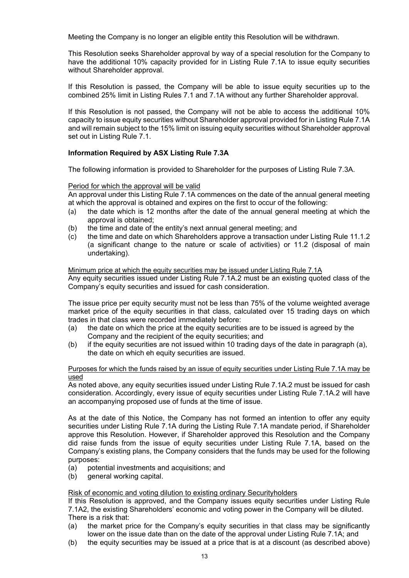Meeting the Company is no longer an eligible entity this Resolution will be withdrawn.

This Resolution seeks Shareholder approval by way of a special resolution for the Company to have the additional 10% capacity provided for in Listing Rule 7.1A to issue equity securities without Shareholder approval.

If this Resolution is passed, the Company will be able to issue equity securities up to the combined 25% limit in Listing Rules 7.1 and 7.1A without any further Shareholder approval.

If this Resolution is not passed, the Company will not be able to access the additional 10% capacity to issue equity securities without Shareholder approval provided for in Listing Rule 7.1A and will remain subject to the 15% limit on issuing equity securities without Shareholder approval set out in Listing Rule 7.1.

### **Information Required by ASX Listing Rule 7.3A**

The following information is provided to Shareholder for the purposes of Listing Rule 7.3A.

#### Period for which the approval will be valid

An approval under this Listing Rule 7.1A commences on the date of the annual general meeting at which the approval is obtained and expires on the first to occur of the following:

- (a) the date which is 12 months after the date of the annual general meeting at which the approval is obtained;
- (b) the time and date of the entity's next annual general meeting; and
- (c) the time and date on which Shareholders approve a transaction under Listing Rule 11.1.2 (a significant change to the nature or scale of activities) or 11.2 (disposal of main undertaking).

Minimum price at which the equity securities may be issued under Listing Rule 7.1A Any equity securities issued under Listing Rule 7.1A.2 must be an existing quoted class of the Company's equity securities and issued for cash consideration.

The issue price per equity security must not be less than 75% of the volume weighted average market price of the equity securities in that class, calculated over 15 trading days on which trades in that class were recorded immediately before:

- (a) the date on which the price at the equity securities are to be issued is agreed by the Company and the recipient of the equity securities; and
- (b) if the equity securities are not issued within 10 trading days of the date in paragraph (a), the date on which eh equity securities are issued.

#### Purposes for which the funds raised by an issue of equity securities under Listing Rule 7.1A may be used

As noted above, any equity securities issued under Listing Rule 7.1A.2 must be issued for cash consideration. Accordingly, every issue of equity securities under Listing Rule 7.1A.2 will have an accompanying proposed use of funds at the time of issue.

As at the date of this Notice, the Company has not formed an intention to offer any equity securities under Listing Rule 7.1A during the Listing Rule 7.1A mandate period, if Shareholder approve this Resolution. However, if Shareholder approved this Resolution and the Company did raise funds from the issue of equity securities under Listing Rule 7.1A, based on the Company's existing plans, the Company considers that the funds may be used for the following purposes:

- (a) potential investments and acquisitions; and
- (b) general working capital.

### Risk of economic and voting dilution to existing ordinary Securityholders

If this Resolution is approved, and the Company issues equity securities under Listing Rule 7.1A2, the existing Shareholders' economic and voting power in the Company will be diluted. There is a risk that:

- (a) the market price for the Company's equity securities in that class may be significantly lower on the issue date than on the date of the approval under Listing Rule 7.1A; and
- (b) the equity securities may be issued at a price that is at a discount (as described above)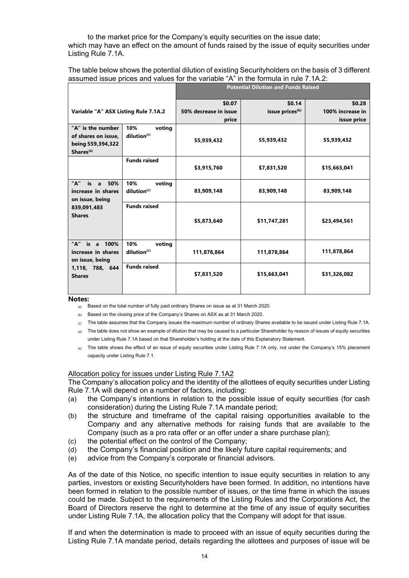to the market price for the Company's equity securities on the issue date; which may have an effect on the amount of funds raised by the issue of equity securities under Listing Rule 7.1A.

The table below shows the potential dilution of existing Securityholders on the basis of 3 different assumed issue prices and values for the variable "A" in the formula in rule 7.1A.2:

|                                          | <b>Potential Dilution and Funds Raised</b> |                                |                             |
|------------------------------------------|--------------------------------------------|--------------------------------|-----------------------------|
|                                          | \$0.07                                     | \$0.14                         | \$0.28                      |
| Variable "A" ASX Listing Rule 7.1A.2     |                                            |                                | 100% increase in            |
|                                          |                                            |                                | issue price                 |
| dilution <sup>(c)</sup>                  | 55,939,432                                 | 55,939,432                     | 55,939,432                  |
| <b>Funds raised</b>                      | \$3,915,760                                | \$7,831,520                    | \$15,663,041                |
| 10%<br>voting<br>dilution <sup>(c)</sup> | 83,909,148                                 | 83,909,148                     | 83,909,148                  |
| <b>Funds raised</b>                      | \$5,873,640                                | \$11,747,281                   | \$23,494,561                |
| 10%<br>voting<br>dilution <sup>(c)</sup> | 111,878,864                                | 111,878,864                    | 111,878,864                 |
| <b>Funds raised</b>                      | \$7,831,520                                | \$15,663,041                   | \$31,326,082                |
|                                          | 10%<br>voting                              | 50% decrease in issue<br>price | issue prices <sup>(b)</sup> |

#### **Notes:**

(a) Based on the total number of fully paid ordinary Shares on issue as at 31 March 2020.

(b) Based on the closing price of the Company's Shares on ASX as at 31 March 2020.

(c) The table assumes that the Company issues the maximum number of ordinary Shares available to be issued under Listing Rule 7.1A.

- (d) The table does not show an example of dilution that may be caused to a particular Shareholder by reason of issues of equity securities under Listing Rule 7.1A based on that Shareholder's holding at the date of this Explanatory Statement.
- (e) The table shows the effect of an issue of equity securities under Listing Rule 7.1A only, not under the Company's 15% placement capacity under Listing Rule 7.1.

### Allocation policy for issues under Listing Rule 7.1A2

The Company's allocation policy and the identity of the allottees of equity securities under Listing Rule 7.1A will depend on a number of factors, including:

- (a) the Company's intentions in relation to the possible issue of equity securities (for cash consideration) during the Listing Rule 7.1A mandate period;
- (b) the structure and timeframe of the capital raising opportunities available to the Company and any alternative methods for raising funds that are available to the Company (such as a pro rata offer or an offer under a share purchase plan);
- (c) the potential effect on the control of the Company;
- (d) the Company's financial position and the likely future capital requirements; and
- (e) advice from the Company's corporate or financial advisors.

As of the date of this Notice, no specific intention to issue equity securities in relation to any parties, investors or existing Securityholders have been formed. In addition, no intentions have been formed in relation to the possible number of issues, or the time frame in which the issues could be made. Subject to the requirements of the Listing Rules and the Corporations Act, the Board of Directors reserve the right to determine at the time of any issue of equity securities under Listing Rule 7.1A, the allocation policy that the Company will adopt for that issue.

If and when the determination is made to proceed with an issue of equity securities during the Listing Rule 7.1A mandate period, details regarding the allottees and purposes of issue will be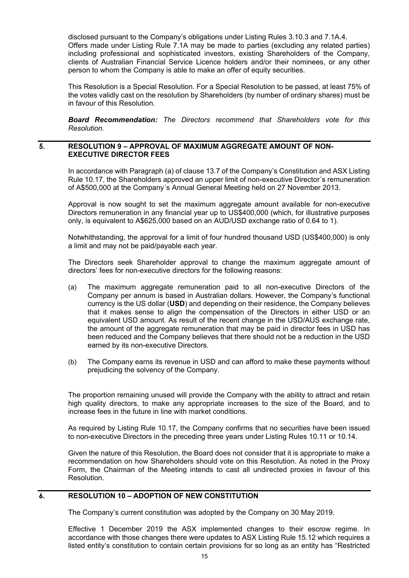disclosed pursuant to the Company's obligations under Listing Rules 3.10.3 and 7.1A.4. Offers made under Listing Rule 7.1A may be made to parties (excluding any related parties) including professional and sophisticated investors, existing Shareholders of the Company, clients of Australian Financial Service Licence holders and/or their nominees, or any other person to whom the Company is able to make an offer of equity securities.

This Resolution is a Special Resolution. For a Special Resolution to be passed, at least 75% of the votes validly cast on the resolution by Shareholders (by number of ordinary shares) must be in favour of this Resolution.

*Board Recommendation: The Directors recommend that Shareholders vote for this Resolution.*

### **5. RESOLUTION 9 – APPROVAL OF MAXIMUM AGGREGATE AMOUNT OF NON-EXECUTIVE DIRECTOR FEES**

In accordance with Paragraph (a) of clause 13.7 of the Company's Constitution and ASX Listing Rule 10.17, the Shareholders approved an upper limit of non-executive Director´s remuneration of A\$500,000 at the Company´s Annual General Meeting held on 27 November 2013.

Approval is now sought to set the maximum aggregate amount available for non-executive Directors remuneration in any financial year up to US\$400,000 (which, for illustrative purposes only, is equivalent to A\$625,000 based on an AUD/USD exchange ratio of 0.64 to 1).

Notwhithstanding, the approval for a limit of four hundred thousand USD (US\$400,000) is only a limit and may not be paid/payable each year.

The Directors seek Shareholder approval to change the maximum aggregate amount of directors' fees for non-executive directors for the following reasons:

- (a) The maximum aggregate remuneration paid to all non-executive Directors of the Company per annum is based in Australian dollars. However, the Company's functional currency is the US dollar (**USD**) and depending on their residence, the Company believes that it makes sense to align the compensation of the Directors in either USD or an equivalent USD amount. As result of the recent change in the USD/AUS exchange rate, the amount of the aggregate remuneration that may be paid in director fees in USD has been reduced and the Company believes that there should not be a reduction in the USD earned by its non-executive Directors.
- (b) The Company earns its revenue in USD and can afford to make these payments without prejudicing the solvency of the Company.

The proportion remaining unused will provide the Company with the ability to attract and retain high quality directors, to make any appropriate increases to the size of the Board, and to increase fees in the future in line with market conditions.

As required by Listing Rule 10.17, the Company confirms that no securities have been issued to non-executive Directors in the preceding three years under Listing Rules 10.11 or 10.14.

Given the nature of this Resolution, the Board does not consider that it is appropriate to make a recommendation on how Shareholders should vote on this Resolution. As noted in the Proxy Form, the Chairman of the Meeting intends to cast all undirected proxies in favour of this Resolution.

### **6. RESOLUTION 10 – ADOPTION OF NEW CONSTITUTION**

The Company's current constitution was adopted by the Company on 30 May 2019.

Effective 1 December 2019 the ASX implemented changes to their escrow regime. In accordance with those changes there were updates to ASX Listing Rule 15.12 which requires a listed entity's constitution to contain certain provisions for so long as an entity has "Restricted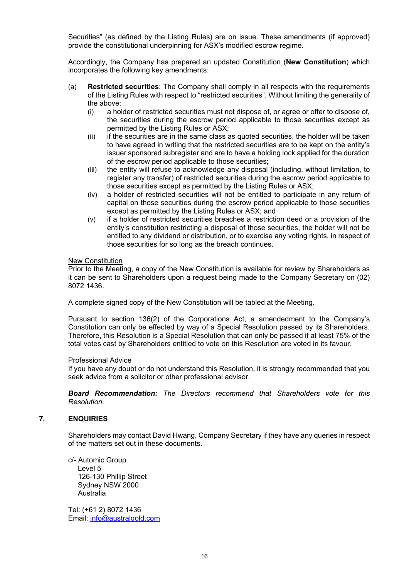Securities" (as defined by the Listing Rules) are on issue. These amendments (if approved) provide the constitutional underpinning for ASX's modified escrow regime.

Accordingly, the Company has prepared an updated Constitution (**New Constitution**) which incorporates the following key amendments:

- (a) **Restricted securities**: The Company shall comply in all respects with the requirements of the Listing Rules with respect to "restricted securities". Without limiting the generality of the above:
	- (i) a holder of restricted securities must not dispose of, or agree or offer to dispose of, the securities during the escrow period applicable to those securities except as permitted by the Listing Rules or ASX;
	- (ii) if the securities are in the same class as quoted securities, the holder will be taken to have agreed in writing that the restricted securities are to be kept on the entity's issuer sponsored subregister and are to have a holding lock applied for the duration of the escrow period applicable to those securities;
	- (iii) the entity will refuse to acknowledge any disposal (including, without limitation, to register any transfer) of restricted securities during the escrow period applicable to those securities except as permitted by the Listing Rules or ASX;
	- (iv) a holder of restricted securities will not be entitled to participate in any return of capital on those securities during the escrow period applicable to those securities except as permitted by the Listing Rules or ASX; and
	- (v) if a holder of restricted securities breaches a restriction deed or a provision of the entity's constitution restricting a disposal of those securities, the holder will not be entitled to any dividend or distribution, or to exercise any voting rights, in respect of those securities for so long as the breach continues.

### New Constitution

Prior to the Meeting, a copy of the New Constitution is available for review by Shareholders as it can be sent to Shareholders upon a request being made to the Company Secretary on (02) 8072 1436.

A complete signed copy of the New Constitution will be tabled at the Meeting.

Pursuant to section 136(2) of the Corporations Act, a amendedment to the Company's Constitution can only be effected by way of a Special Resolution passed by its Shareholders. Therefore, this Resolution is a Special Resolution that can only be passed if at least 75% of the total votes cast by Shareholders entitled to vote on this Resolution are voted in its favour.

### Professional Advice

If you have any doubt or do not understand this Resolution, it is strongly recommended that you seek advice from a solicitor or other professional advisor.

*Board Recommendation: The Directors recommend that Shareholders vote for this Resolution.*

### **7. ENQUIRIES**

Shareholders may contact David Hwang, Company Secretary if they have any queries in respect of the matters set out in these documents.

c/- Automic Group Level 5 126-130 Phillip Street Sydney NSW 2000 Australia

Tel: (+61 2) 8072 1436 Email: info@australgold.com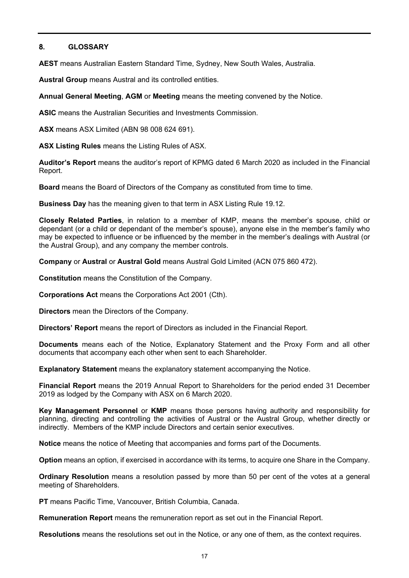### **8. GLOSSARY**

**AEST** means Australian Eastern Standard Time, Sydney, New South Wales, Australia.

**Austral Group** means Austral and its controlled entities.

**Annual General Meeting**, **AGM** or **Meeting** means the meeting convened by the Notice.

**ASIC** means the Australian Securities and Investments Commission.

**ASX** means ASX Limited (ABN 98 008 624 691).

**ASX Listing Rules** means the Listing Rules of ASX.

**Auditor's Report** means the auditor's report of KPMG dated 6 March 2020 as included in the Financial Report.

**Board** means the Board of Directors of the Company as constituted from time to time.

**Business Day** has the meaning given to that term in ASX Listing Rule 19.12.

**Closely Related Parties**, in relation to a member of KMP, means the member's spouse, child or dependant (or a child or dependant of the member's spouse), anyone else in the member's family who may be expected to influence or be influenced by the member in the member's dealings with Austral (or the Austral Group), and any company the member controls.

**Company** or **Austral** or **Austral Gold** means Austral Gold Limited (ACN 075 860 472).

**Constitution** means the Constitution of the Company.

**Corporations Act** means the Corporations Act 2001 (Cth).

**Directors** mean the Directors of the Company.

**Directors' Report** means the report of Directors as included in the Financial Report.

**Documents** means each of the Notice, Explanatory Statement and the Proxy Form and all other documents that accompany each other when sent to each Shareholder.

**Explanatory Statement** means the explanatory statement accompanying the Notice.

**Financial Report** means the 2019 Annual Report to Shareholders for the period ended 31 December 2019 as lodged by the Company with ASX on 6 March 2020.

**Key Management Personnel** or **KMP** means those persons having authority and responsibility for planning, directing and controlling the activities of Austral or the Austral Group, whether directly or indirectly. Members of the KMP include Directors and certain senior executives.

**Notice** means the notice of Meeting that accompanies and forms part of the Documents.

**Option** means an option, if exercised in accordance with its terms, to acquire one Share in the Company.

**Ordinary Resolution** means a resolution passed by more than 50 per cent of the votes at a general meeting of Shareholders.

**PT** means Pacific Time, Vancouver, British Columbia, Canada.

**Remuneration Report** means the remuneration report as set out in the Financial Report.

**Resolutions** means the resolutions set out in the Notice, or any one of them, as the context requires.